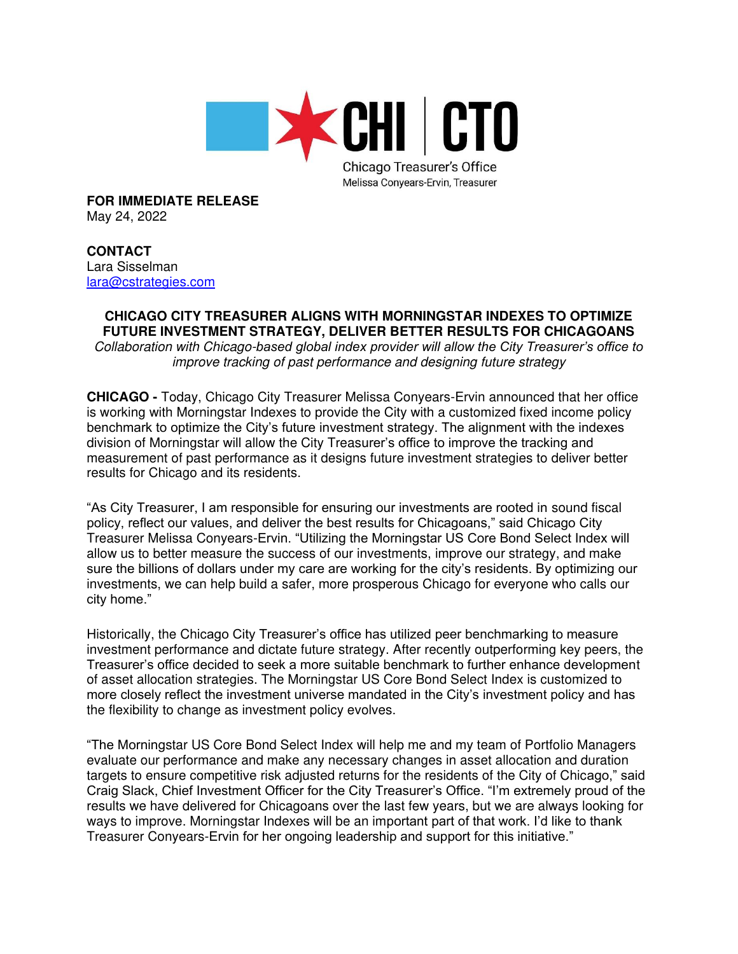

**FOR IMMEDIATE RELEASE** May 24, 2022

**CONTACT** Lara Sisselman [lara@cstrategies.com](mailto:lara@cstrategies.com)

## **CHICAGO CITY TREASURER ALIGNS WITH MORNINGSTAR INDEXES TO OPTIMIZE FUTURE INVESTMENT STRATEGY, DELIVER BETTER RESULTS FOR CHICAGOANS**

Collaboration with Chicago-*based global index provider will allow the City Treasurer's office to*  improve tracking of past performance and designing future strategy

**CHICAGO -** Today, Chicago City Treasurer Melissa Conyears-Ervin announced that her office is working with Morningstar Indexes to provide the City with a customized fixed income policy benchmark to optimize the City's future investment strategy. The alignment with the indexes division of Morningstar will allow the City Treasurer's office to improve the tracking and measurement of past performance as it designs future investment strategies to deliver better results for Chicago and its residents.

"As City Treasurer, I am responsible for ensuring our investments are rooted in sound fiscal policy, reflect our values, and deliver the best results for Chicagoans," said Chicago City Treasurer Melissa Conyears-Ervin. "Utilizing the Morningstar US Core Bond Select Index will allow us to better measure the success of our investments, improve our strategy, and make sure the billions of dollars under my care are working for the city's residents. By optimizing our investments, we can help build a safer, more prosperous Chicago for everyone who calls our city home."

Historically, the Chicago City Treasurer's office has utilized peer benchmarking to measure investment performance and dictate future strategy. After recently outperforming key peers, the Treasurer's office decided to seek a more suitable benchmark to further enhance development of asset allocation strategies. The Morningstar US Core Bond Select Index is customized to more closely reflect the investment universe mandated in the City's investment policy and has the flexibility to change as investment policy evolves.

"The Morningstar US Core Bond Select Index will help me and my team of Portfolio Managers evaluate our performance and make any necessary changes in asset allocation and duration targets to ensure competitive risk adjusted returns for the residents of the City of Chicago," said Craig Slack, Chief Investment Officer for the City Treasurer's Office. "I'm extremely proud of the results we have delivered for Chicagoans over the last few years, but we are always looking for ways to improve. Morningstar Indexes will be an important part of that work. I'd like to thank Treasurer Conyears-Ervin for her ongoing leadership and support for this initiative."